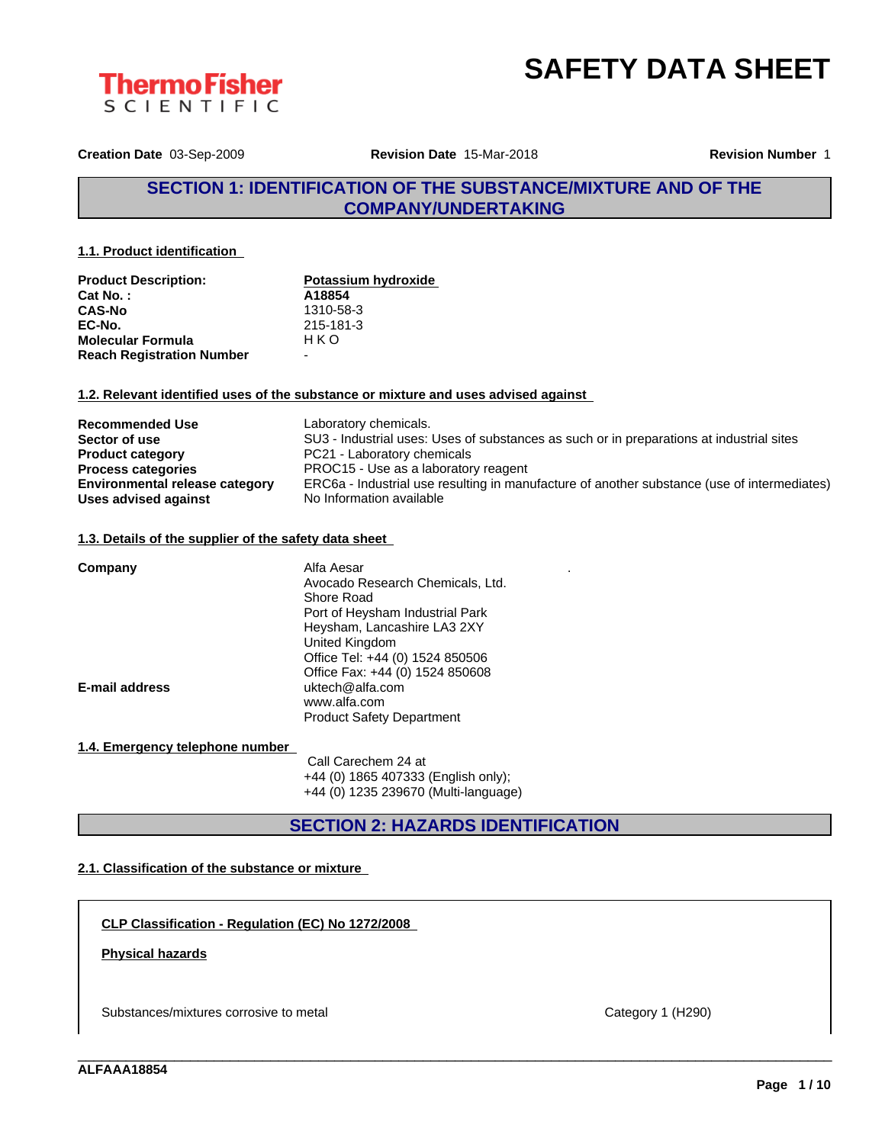



**Creation Date** 03-Sep-2009 **Revision Date** 15-Mar-2018 **Revision Number** 1

# **SECTION 1: IDENTIFICATION OF THE SUBSTANCE/MIXTURE AND OF THE COMPANY/UNDERTAKING**

**1.1. Product identification**

| <b>Product Description:</b>      | Potassium hydroxide |
|----------------------------------|---------------------|
| <b>Cat No.:</b>                  | A18854              |
| <b>CAS-No</b>                    | 1310-58-3           |
| EC-No.                           | 215-181-3           |
| <b>Molecular Formula</b>         | HKO                 |
| <b>Reach Registration Number</b> | -                   |

### **1.2. Relevant identified uses of the substance or mixture and uses advised against**

| <b>Recommended Use</b>                | Laboratory chemicals.                                                                       |
|---------------------------------------|---------------------------------------------------------------------------------------------|
| Sector of use                         | SU3 - Industrial uses: Uses of substances as such or in preparations at industrial sites    |
| <b>Product category</b>               | PC21 - Laboratory chemicals                                                                 |
| <b>Process categories</b>             | PROC15 - Use as a laboratory reagent                                                        |
| <b>Environmental release category</b> | ERC6a - Industrial use resulting in manufacture of another substance (use of intermediates) |
| <b>Uses advised against</b>           | No Information available                                                                    |

### **1.3. Details of the supplier of the safety data sheet**

| Company               | Alfa Aesar<br>٠<br>Avocado Research Chemicals, Ltd.<br>Shore Road<br>Port of Heysham Industrial Park<br>Heysham, Lancashire LA3 2XY<br>United Kingdom<br>Office Tel: +44 (0) 1524 850506<br>Office Fax: +44 (0) 1524 850608 |
|-----------------------|-----------------------------------------------------------------------------------------------------------------------------------------------------------------------------------------------------------------------------|
| <b>E-mail address</b> | uktech@alfa.com<br>www.alfa.com<br><b>Product Safety Department</b>                                                                                                                                                         |

### **1.4. Emergency telephone number**

Call Carechem 24 at +44 (0) 1865 407333 (English only); +44 (0) 1235 239670 (Multi-language)

# **SECTION 2: HAZARDS IDENTIFICATION**

\_\_\_\_\_\_\_\_\_\_\_\_\_\_\_\_\_\_\_\_\_\_\_\_\_\_\_\_\_\_\_\_\_\_\_\_\_\_\_\_\_\_\_\_\_\_\_\_\_\_\_\_\_\_\_\_\_\_\_\_\_\_\_\_\_\_\_\_\_\_\_\_\_\_\_\_\_\_\_\_\_\_\_\_\_\_\_\_\_\_\_\_\_\_

## **2.1. Classification of the substance or mixture**

**CLP Classification - Regulation (EC) No 1272/2008**

## **Physical hazards**

Substances/mixtures corrosive to metal Category 1 (H290)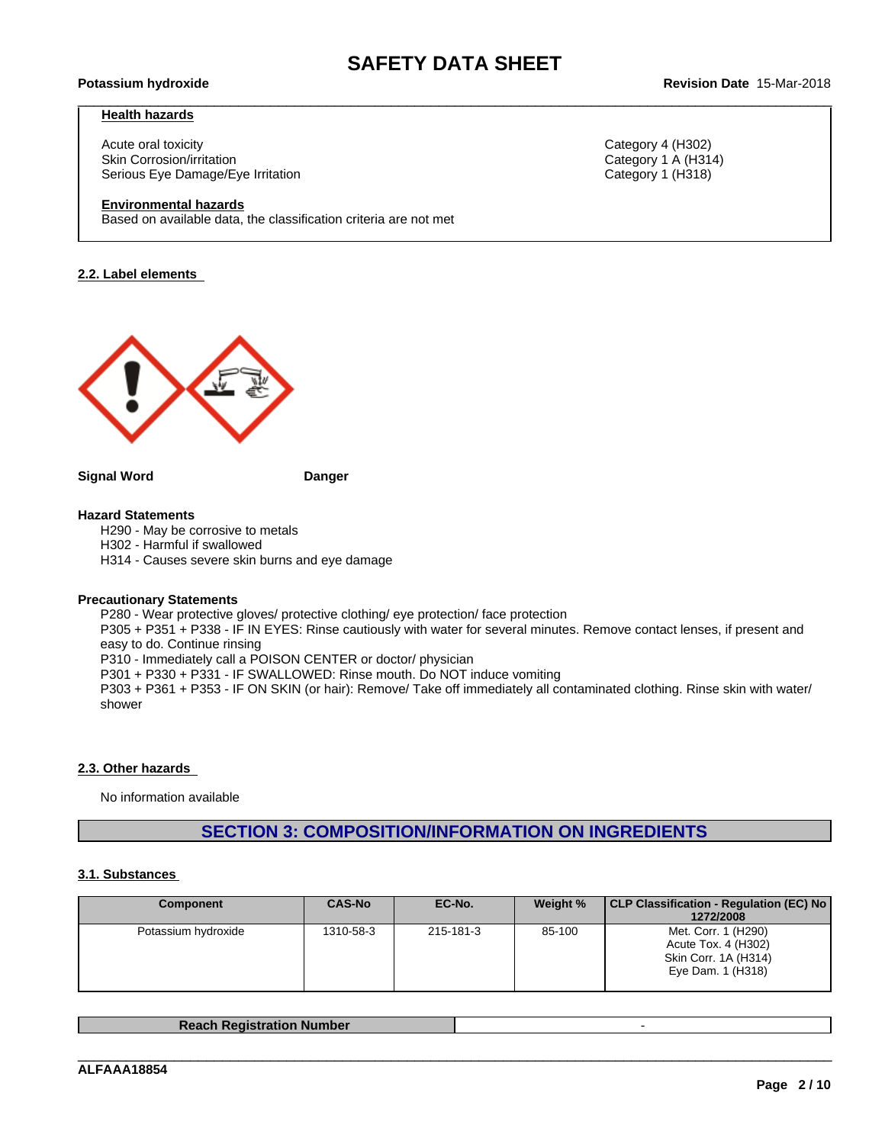### **Health hazards**

Acute oral toxicity Category 4 (H302) Skin Corrosion/irritation **Category 1 A (H314)** Category 1 A (H314) Serious Eye Damage/Eye Irritation Category 1 (H318)

### **Environmental hazards**

Based on available data, the classification criteria are not met

### **2.2. Label elements**



### **Signal Word Danger**

### **Hazard Statements**

H290 - May be corrosive to metals

H302 - Harmful if swallowed

H314 - Causes severe skin burns and eye damage

### **Precautionary Statements**

P280 - Wear protective gloves/ protective clothing/ eye protection/ face protection

P305 + P351 + P338 - IF IN EYES: Rinse cautiously with water for several minutes. Remove contact lenses, if present and easy to do. Continue rinsing

P310 - Immediately call a POISON CENTER or doctor/ physician

P301 + P330 + P331 - IF SWALLOWED: Rinse mouth. Do NOT induce vomiting

P303 + P361 + P353 - IF ON SKIN (or hair): Remove/ Take off immediately all contaminated clothing. Rinse skin with water/ shower

### **2.3. Other hazards**

No information available

# **SECTION 3: COMPOSITION/INFORMATION ON INGREDIENTS**

### **3.1. Substances**

| <b>Component</b>    | <b>CAS-No</b> | EC-No.    | Weight % | CLP Classification - Regulation (EC) No<br>1272/2008                                    |
|---------------------|---------------|-----------|----------|-----------------------------------------------------------------------------------------|
| Potassium hydroxide | 1310-58-3     | 215-181-3 | 85-100   | Met. Corr. 1 (H290)<br>Acute Tox. 4 (H302)<br>Skin Corr. 1A (H314)<br>Eye Dam. 1 (H318) |

| <b>Reach Registration Number</b> |  |
|----------------------------------|--|
|                                  |  |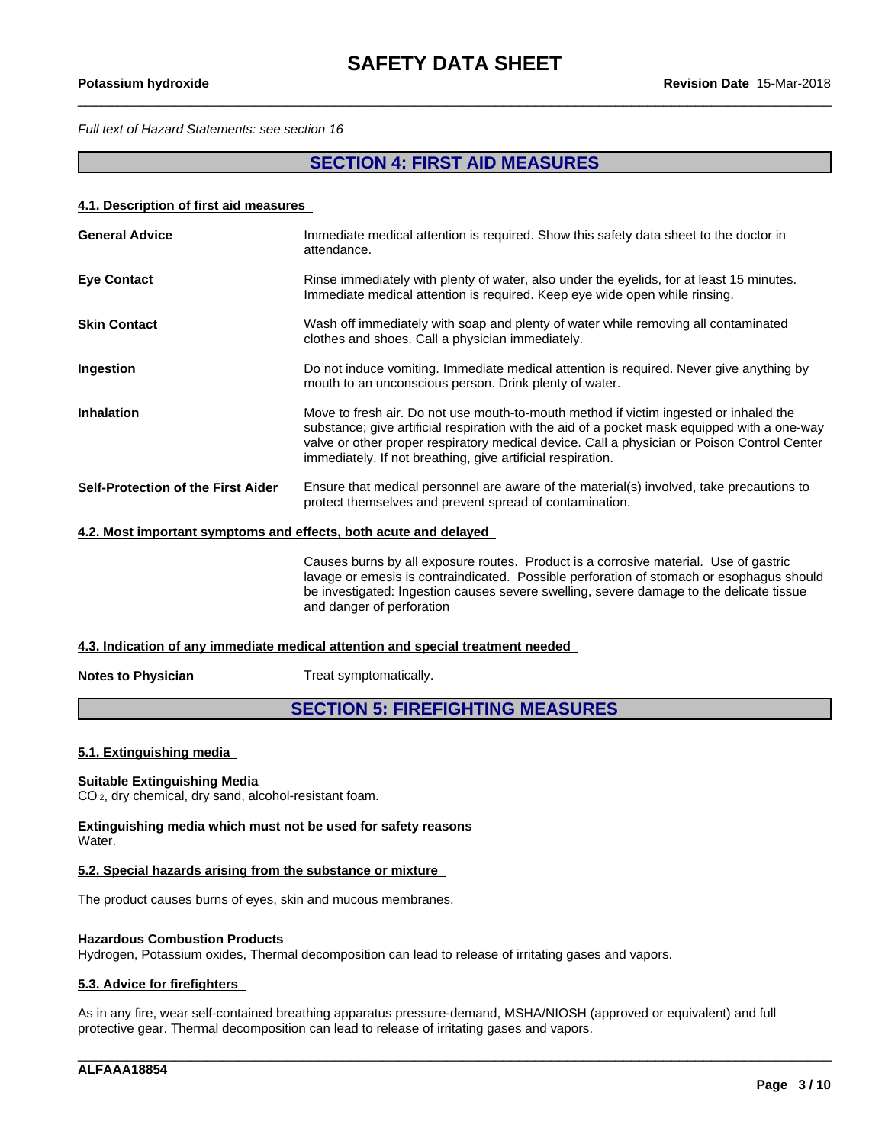*Full text of Hazard Statements: see section 16*

# **SECTION 4: FIRST AID MEASURES**

### **4.1. Description of first aid measures**

| <b>General Advice</b>                                                                                                                                                                     | Immediate medical attention is required. Show this safety data sheet to the doctor in<br>attendance.                                                                                                                                                                                                                                                |  |  |  |
|-------------------------------------------------------------------------------------------------------------------------------------------------------------------------------------------|-----------------------------------------------------------------------------------------------------------------------------------------------------------------------------------------------------------------------------------------------------------------------------------------------------------------------------------------------------|--|--|--|
| <b>Eye Contact</b>                                                                                                                                                                        | Rinse immediately with plenty of water, also under the eyelids, for at least 15 minutes.<br>Immediate medical attention is required. Keep eye wide open while rinsing.                                                                                                                                                                              |  |  |  |
| <b>Skin Contact</b>                                                                                                                                                                       | Wash off immediately with soap and plenty of water while removing all contaminated<br>clothes and shoes. Call a physician immediately.                                                                                                                                                                                                              |  |  |  |
| <b>Ingestion</b>                                                                                                                                                                          | Do not induce vomiting. Immediate medical attention is required. Never give anything by<br>mouth to an unconscious person. Drink plenty of water.                                                                                                                                                                                                   |  |  |  |
| <b>Inhalation</b>                                                                                                                                                                         | Move to fresh air. Do not use mouth-to-mouth method if victim ingested or inhaled the<br>substance; give artificial respiration with the aid of a pocket mask equipped with a one-way<br>valve or other proper respiratory medical device. Call a physician or Poison Control Center<br>immediately. If not breathing, give artificial respiration. |  |  |  |
| Self-Protection of the First Aider<br>Ensure that medical personnel are aware of the material(s) involved, take precautions to<br>protect themselves and prevent spread of contamination. |                                                                                                                                                                                                                                                                                                                                                     |  |  |  |
| 4.2. Most important symptoms and effects, both acute and delayed                                                                                                                          |                                                                                                                                                                                                                                                                                                                                                     |  |  |  |

Causes burns by all exposure routes. Product is a corrosive material. Use of gastric lavage or emesis is contraindicated. Possible perforation of stomach or esophagus should be investigated: Ingestion causes severe swelling, severe damage to the delicate tissue and danger of perforation

### **4.3. Indication of any immediate medical attention and special treatment needed**

**Notes to Physician** Treat symptomatically.

# **SECTION 5: FIREFIGHTING MEASURES**

### **5.1. Extinguishing media**

### **Suitable Extinguishing Media**

CO 2, dry chemical, dry sand, alcohol-resistant foam.

**Extinguishing media which must not be used for safety reasons** Water.

### **5.2. Special hazards arising from the substance or mixture**

The product causes burns of eyes, skin and mucous membranes.

### **Hazardous Combustion Products**

Hydrogen, Potassium oxides, Thermal decomposition can lead to release of irritating gases and vapors.

### **5.3. Advice for firefighters**

As in any fire, wear self-contained breathing apparatus pressure-demand, MSHA/NIOSH (approved or equivalent) and full protective gear. Thermal decomposition can lead to release of irritating gases and vapors.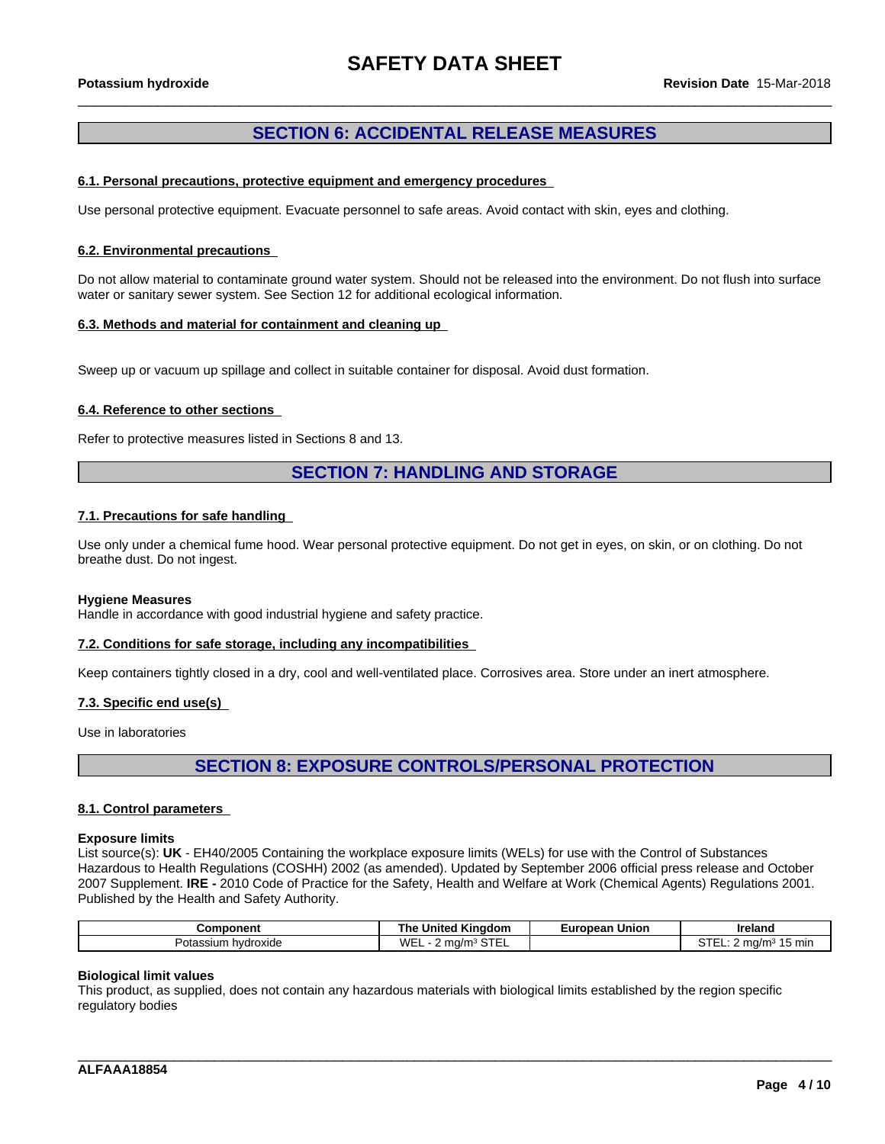# **SECTION 6: ACCIDENTAL RELEASE MEASURES**

### **6.1. Personal precautions, protective equipment and emergency procedures**

Use personal protective equipment. Evacuate personnel to safe areas. Avoid contact with skin, eyes and clothing.

### **6.2. Environmental precautions**

Do not allow material to contaminate ground water system. Should not be released into the environment. Do not flush into surface water or sanitary sewer system. See Section 12 for additional ecological information.

### **6.3. Methods and material for containment and cleaning up**

Sweep up or vacuum up spillage and collect in suitable container for disposal. Avoid dust formation.

### **6.4. Reference to other sections**

Refer to protective measures listed in Sections 8 and 13.

# **SECTION 7: HANDLING AND STORAGE**

### **7.1. Precautions for safe handling**

Use only under a chemical fume hood. Wear personal protective equipment. Do not get in eyes, on skin, or on clothing. Do not breathe dust. Do not ingest.

### **Hygiene Measures**

Handle in accordance with good industrial hygiene and safety practice.

### **7.2. Conditions for safe storage, including any incompatibilities**

Keep containers tightly closed in a dry, cool and well-ventilated place. Corrosives area. Store under an inert atmosphere.

### **7.3. Specific end use(s)**

Use in laboratories

# **SECTION 8: EXPOSURE CONTROLS/PERSONAL PROTECTION**

### **8.1. Control parameters**

### **Exposure limits**

List source(s): **UK** - EH40/2005 Containing the workplace exposure limits (WELs) for use with the Control of Substances Hazardous to Health Regulations (COSHH) 2002 (as amended). Updated by September 2006 official press release and October 2007 Supplement. **IRE -** 2010 Code of Practice for the Safety, Health and Welfare at Work (Chemical Agents) Regulations 2001. Published by the Health and Safety Authority.

| $-$<br><b>WF</b><br>15 mir<br>hvdroxide<br>⊵otassium<br>ma/m-<br>ma/m<br>. .<br>_ | <b>Component</b> | Kinadom<br>Jnited<br>ı ne | Union<br>European | Ireland |
|-----------------------------------------------------------------------------------|------------------|---------------------------|-------------------|---------|
|                                                                                   |                  | . .                       |                   |         |

\_\_\_\_\_\_\_\_\_\_\_\_\_\_\_\_\_\_\_\_\_\_\_\_\_\_\_\_\_\_\_\_\_\_\_\_\_\_\_\_\_\_\_\_\_\_\_\_\_\_\_\_\_\_\_\_\_\_\_\_\_\_\_\_\_\_\_\_\_\_\_\_\_\_\_\_\_\_\_\_\_\_\_\_\_\_\_\_\_\_\_\_\_\_

### **Biological limit values**

This product, as supplied, does not contain any hazardous materials with biological limits established by the region specific regulatory bodies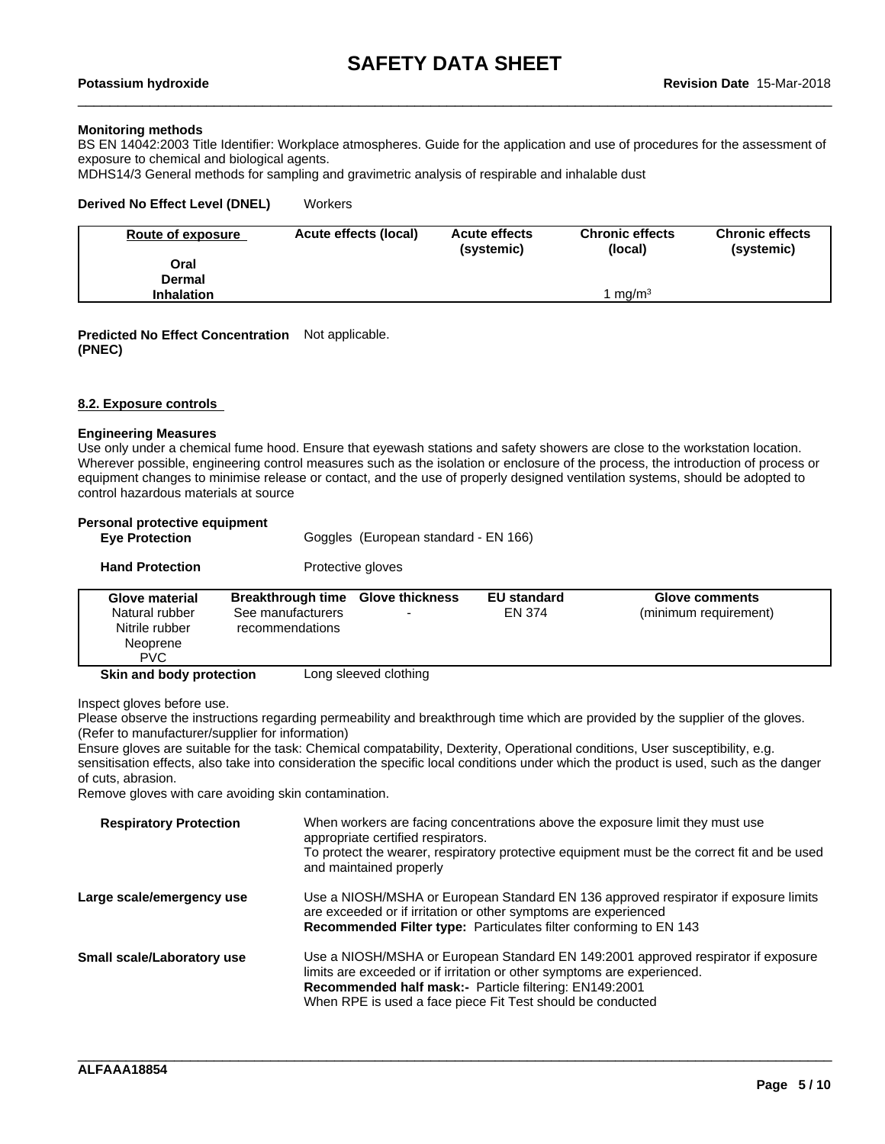### **Monitoring methods**

BS EN 14042:2003 Title Identifier: Workplace atmospheres. Guide for the application and use of procedures for the assessment of exposure to chemical and biological agents.

MDHS14/3 General methods for sampling and gravimetric analysis of respirable and inhalable dust

### **Derived No Effect Level (DNEL)** Workers

| Route of exposure | Acute effects (local) | <b>Acute effects</b><br>(systemic) | <b>Chronic effects</b><br>(local) | <b>Chronic effects</b><br>(systemic) |
|-------------------|-----------------------|------------------------------------|-----------------------------------|--------------------------------------|
| Oral              |                       |                                    |                                   |                                      |
| Dermal            |                       |                                    |                                   |                                      |
| <b>Inhalation</b> |                       |                                    | ma/m <sup>3</sup>                 |                                      |

### **Predicted No Effect Concentration** Not applicable. **(PNEC)**

### **8.2. Exposure controls**

### **Engineering Measures**

Use only under a chemical fume hood. Ensure that eyewash stations and safety showers are close to the workstation location. Wherever possible, engineering control measures such as the isolation or enclosure of the process, the introduction of process or equipment changes to minimise release or contact, and the use of properly designed ventilation systems, should be adopted to control hazardous materials at source

| Personal protective equipment |  |
|-------------------------------|--|
|                               |  |

| <b>Eve Protection</b>                                                        | Goggles (European standard - EN 166)                                      |                   |                              |                                                |
|------------------------------------------------------------------------------|---------------------------------------------------------------------------|-------------------|------------------------------|------------------------------------------------|
| <b>Hand Protection</b>                                                       |                                                                           | Protective gloves |                              |                                                |
| Glove material<br>Natural rubber<br>Nitrile rubber<br>Neoprene<br><b>PVC</b> | Breakthrough time Glove thickness<br>See manufacturers<br>recommendations |                   | <b>EU</b> standard<br>EN 374 | <b>Glove comments</b><br>(minimum requirement) |
| Skin and body protection<br>Long sleeved clothing                            |                                                                           |                   |                              |                                                |

Inspect gloves before use.

Please observe the instructions regarding permeability and breakthrough time which are provided by the supplier of the gloves. (Refer to manufacturer/supplier for information)

Ensure gloves are suitable for the task: Chemical compatability, Dexterity, Operational conditions, User susceptibility, e.g. sensitisation effects, also take into consideration the specific local conditions under which the product is used, such as the danger of cuts, abrasion.

Remove gloves with care avoiding skin contamination.

| <b>Respiratory Protection</b> | When workers are facing concentrations above the exposure limit they must use<br>appropriate certified respirators.<br>To protect the wearer, respiratory protective equipment must be the correct fit and be used<br>and maintained properly                                        |
|-------------------------------|--------------------------------------------------------------------------------------------------------------------------------------------------------------------------------------------------------------------------------------------------------------------------------------|
| Large scale/emergency use     | Use a NIOSH/MSHA or European Standard EN 136 approved respirator if exposure limits<br>are exceeded or if irritation or other symptoms are experienced<br><b>Recommended Filter type:</b> Particulates filter conforming to EN 143                                                   |
| Small scale/Laboratory use    | Use a NIOSH/MSHA or European Standard EN 149:2001 approved respirator if exposure<br>limits are exceeded or if irritation or other symptoms are experienced.<br>Recommended half mask:- Particle filtering: EN149:2001<br>When RPE is used a face piece Fit Test should be conducted |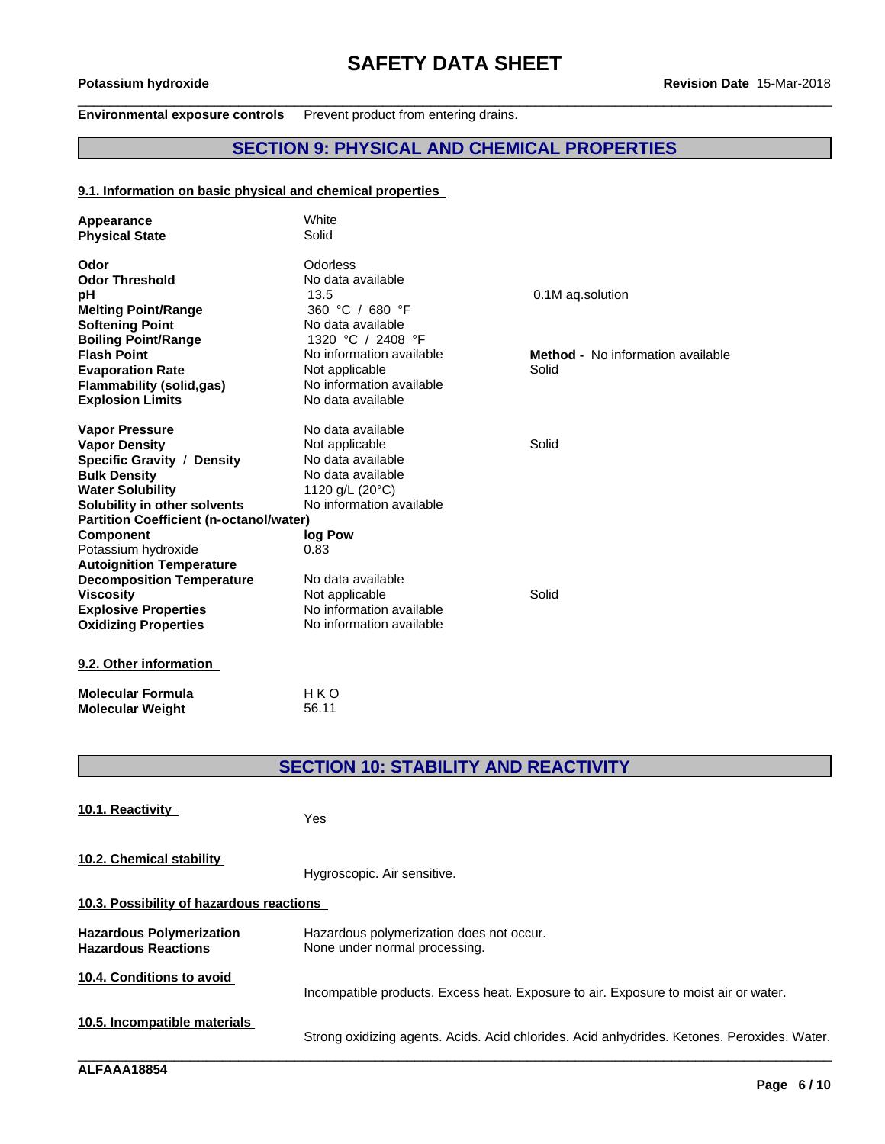### **Environmental exposure controls** Prevent product from entering drains.

# **SECTION 9: PHYSICAL AND CHEMICAL PROPERTIES**

### **9.1. Information on basic physical and chemical properties**

| Appearance<br><b>Physical State</b>            | White<br>Solid           |                                          |
|------------------------------------------------|--------------------------|------------------------------------------|
| Odor                                           | Odorless                 |                                          |
| <b>Odor Threshold</b>                          | No data available        |                                          |
| рH                                             | 13.5                     | 0.1M ag.solution                         |
| <b>Melting Point/Range</b>                     | 360 °C / 680 °F          |                                          |
| <b>Softening Point</b>                         | No data available        |                                          |
| <b>Boiling Point/Range</b>                     | 1320 °C / 2408 °F        |                                          |
| <b>Flash Point</b>                             | No information available | <b>Method -</b> No information available |
| <b>Evaporation Rate</b>                        | Not applicable           | Solid                                    |
| <b>Flammability (solid,gas)</b>                | No information available |                                          |
| <b>Explosion Limits</b>                        | No data available        |                                          |
| <b>Vapor Pressure</b>                          | No data available        |                                          |
| <b>Vapor Density</b>                           | Not applicable           | Solid                                    |
| Specific Gravity / Density                     | No data available        |                                          |
| <b>Bulk Density</b>                            | No data available        |                                          |
| <b>Water Solubility</b>                        | 1120 g/L (20°C)          |                                          |
| Solubility in other solvents                   | No information available |                                          |
| <b>Partition Coefficient (n-octanol/water)</b> |                          |                                          |
| <b>Component</b>                               | log Pow                  |                                          |
| Potassium hydroxide                            | 0.83                     |                                          |
| <b>Autoignition Temperature</b>                |                          |                                          |
| <b>Decomposition Temperature</b>               | No data available        |                                          |
| <b>Viscosity</b>                               | Not applicable           | Solid                                    |
| <b>Explosive Properties</b>                    | No information available |                                          |
| <b>Oxidizing Properties</b>                    | No information available |                                          |
| 9.2. Other information                         |                          |                                          |
|                                                |                          |                                          |

**Molecular Formula** HKO<br>**Molecular Weight** 56.11 **Molecular Weight** 

# **SECTION 10: STABILITY AND REACTIVITY**

| 10.1. Reactivity                                              | Yes                                                                                         |
|---------------------------------------------------------------|---------------------------------------------------------------------------------------------|
| 10.2. Chemical stability                                      | Hygroscopic. Air sensitive.                                                                 |
| 10.3. Possibility of hazardous reactions                      |                                                                                             |
| <b>Hazardous Polymerization</b><br><b>Hazardous Reactions</b> | Hazardous polymerization does not occur.<br>None under normal processing.                   |
| 10.4. Conditions to avoid                                     | Incompatible products. Excess heat. Exposure to air. Exposure to moist air or water.        |
| 10.5. Incompatible materials                                  | Strong oxidizing agents. Acids. Acid chlorides. Acid anhydrides. Ketones. Peroxides. Water. |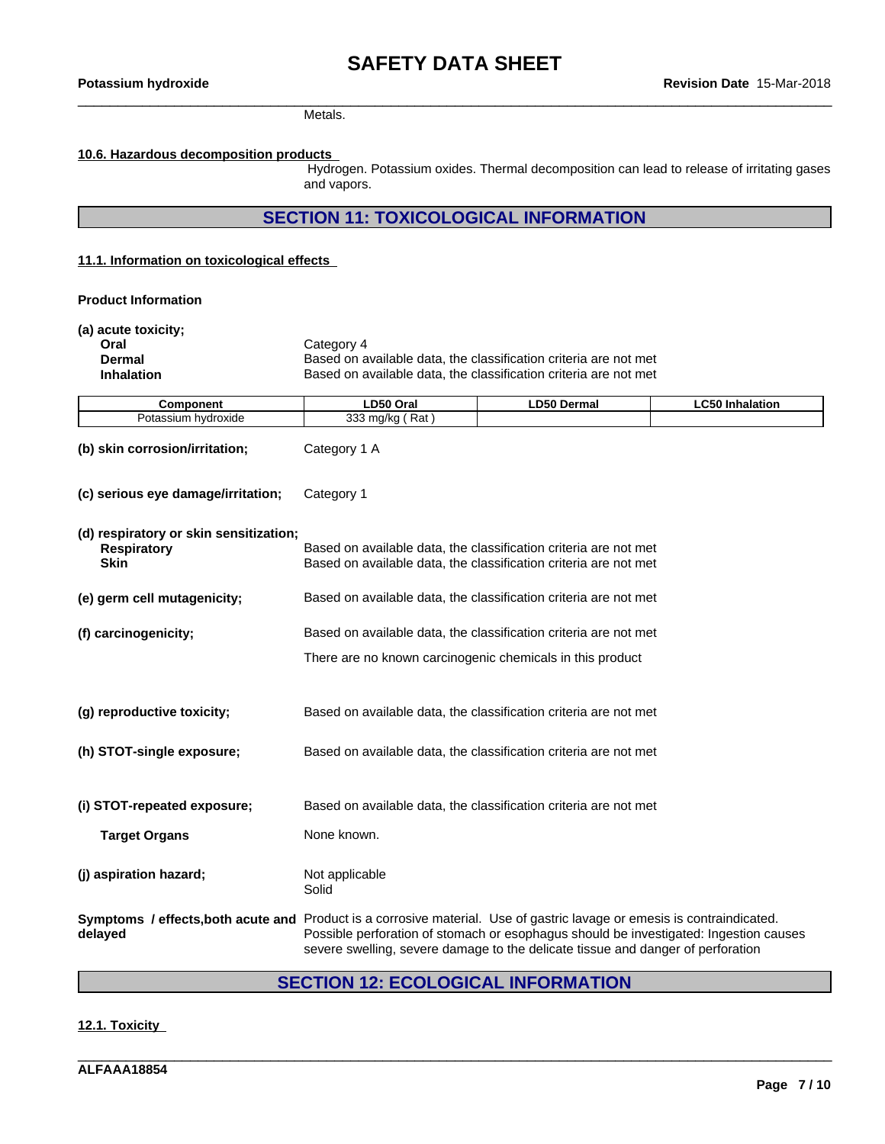Metals.

### **10.6. Hazardous decomposition products**

Hydrogen. Potassium oxides. Thermal decomposition can lead to release of irritating gases and vapors.

**SECTION 11: TOXICOLOGICAL INFORMATION**

### **11.1. Information on toxicologicaleffects**

**Product Information**

| (a) acute toxicity;<br>Oral<br>Dermal<br><b>Inhalation</b>                  | Category 4<br>Based on available data, the classification criteria are not met<br>Based on available data, the classification criteria are not met                                                                                                                                                  |  |  |  |  |  |  |
|-----------------------------------------------------------------------------|-----------------------------------------------------------------------------------------------------------------------------------------------------------------------------------------------------------------------------------------------------------------------------------------------------|--|--|--|--|--|--|
| <b>Component</b>                                                            | LD50 Oral<br><b>LD50 Dermal</b><br><b>LC50 Inhalation</b>                                                                                                                                                                                                                                           |  |  |  |  |  |  |
| Potassium hydroxide                                                         | 333 mg/kg (Rat)                                                                                                                                                                                                                                                                                     |  |  |  |  |  |  |
| (b) skin corrosion/irritation;                                              | Category 1 A                                                                                                                                                                                                                                                                                        |  |  |  |  |  |  |
| (c) serious eye damage/irritation;                                          | Category 1                                                                                                                                                                                                                                                                                          |  |  |  |  |  |  |
| (d) respiratory or skin sensitization;<br><b>Respiratory</b><br><b>Skin</b> | Based on available data, the classification criteria are not met<br>Based on available data, the classification criteria are not met                                                                                                                                                                |  |  |  |  |  |  |
| (e) germ cell mutagenicity;                                                 | Based on available data, the classification criteria are not met                                                                                                                                                                                                                                    |  |  |  |  |  |  |
| (f) carcinogenicity;                                                        | Based on available data, the classification criteria are not met                                                                                                                                                                                                                                    |  |  |  |  |  |  |
|                                                                             | There are no known carcinogenic chemicals in this product                                                                                                                                                                                                                                           |  |  |  |  |  |  |
| (g) reproductive toxicity;                                                  | Based on available data, the classification criteria are not met                                                                                                                                                                                                                                    |  |  |  |  |  |  |
| (h) STOT-single exposure;                                                   | Based on available data, the classification criteria are not met                                                                                                                                                                                                                                    |  |  |  |  |  |  |
| (i) STOT-repeated exposure;                                                 | Based on available data, the classification criteria are not met                                                                                                                                                                                                                                    |  |  |  |  |  |  |
| <b>Target Organs</b>                                                        | None known.                                                                                                                                                                                                                                                                                         |  |  |  |  |  |  |
| (j) aspiration hazard;                                                      | Not applicable<br>Solid                                                                                                                                                                                                                                                                             |  |  |  |  |  |  |
| delayed                                                                     | Symptoms / effects, both acute and Product is a corrosive material. Use of gastric lavage or emesis is contraindicated.<br>Possible perforation of stomach or esophagus should be investigated: Ingestion causes<br>severe swelling, severe damage to the delicate tissue and danger of perforation |  |  |  |  |  |  |

# **SECTION 12: ECOLOGICAL INFORMATION**

\_\_\_\_\_\_\_\_\_\_\_\_\_\_\_\_\_\_\_\_\_\_\_\_\_\_\_\_\_\_\_\_\_\_\_\_\_\_\_\_\_\_\_\_\_\_\_\_\_\_\_\_\_\_\_\_\_\_\_\_\_\_\_\_\_\_\_\_\_\_\_\_\_\_\_\_\_\_\_\_\_\_\_\_\_\_\_\_\_\_\_\_\_\_

### **12.1. Toxicity**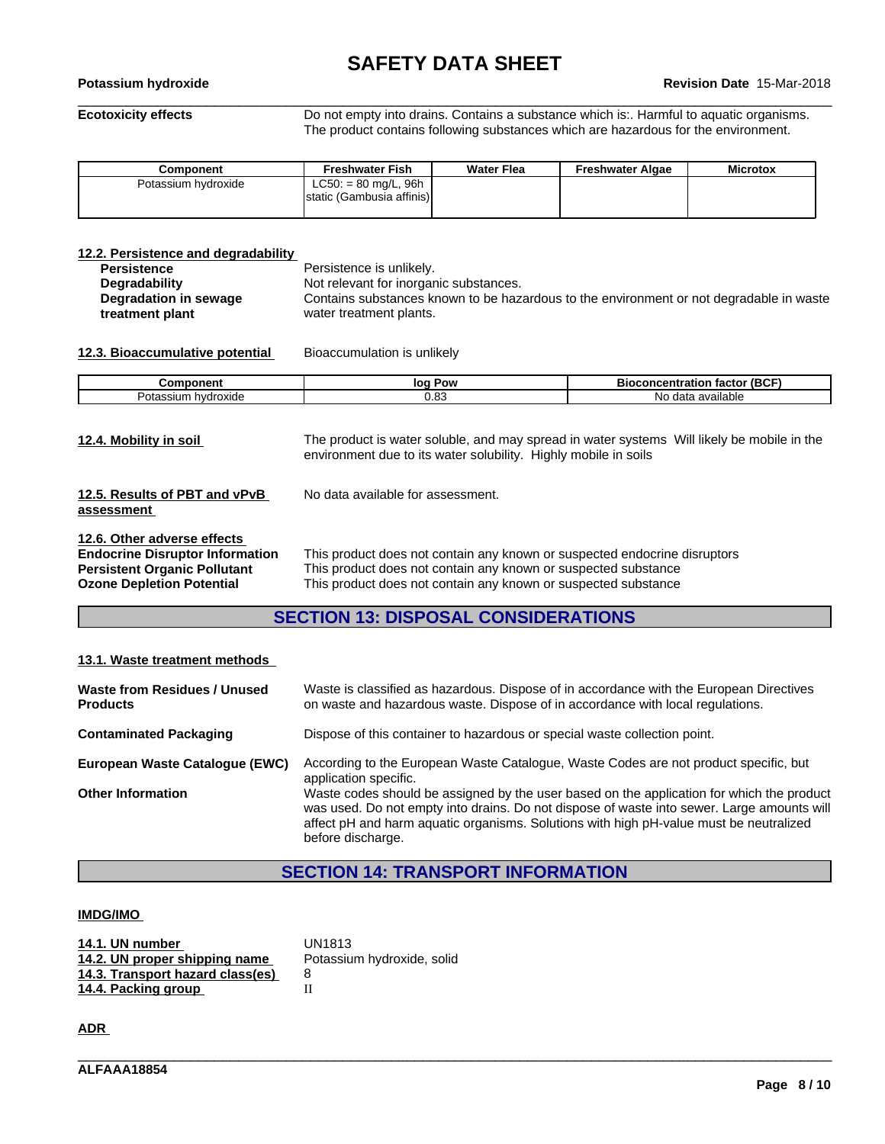# **SAFETY DATA SHEET**<br>Revision Date 15-Mar-2018

# \_\_\_\_\_\_\_\_\_\_\_\_\_\_\_\_\_\_\_\_\_\_\_\_\_\_\_\_\_\_\_\_\_\_\_\_\_\_\_\_\_\_\_\_\_\_\_\_\_\_\_\_\_\_\_\_\_\_\_\_\_\_\_\_\_\_\_\_\_\_\_\_\_\_\_\_\_\_\_\_\_\_\_\_\_\_\_\_\_\_\_\_\_\_ **Potassium hydroxide Revision Date** 15-Mar-2018

**Ecotoxicity effects** Do not empty into drains. Contains a substance which is:. Harmful to aquatic organisms. The product contains following substances which are hazardous for the environment.

| Component           | <b>Freshwater Fish</b>    | <b>Water Flea</b> | Freshwater Algae | <b>Microtox</b> |
|---------------------|---------------------------|-------------------|------------------|-----------------|
| Potassium hydroxide | $LC50: = 80$ mg/L, 96h    |                   |                  |                 |
|                     | static (Gambusia affinis) |                   |                  |                 |
|                     |                           |                   |                  |                 |

| 12.2. Persistence and degradability |                                                                                         |
|-------------------------------------|-----------------------------------------------------------------------------------------|
| <b>Persistence</b>                  | Persistence is unlikely.                                                                |
| Degradability                       | Not relevant for inorganic substances.                                                  |
| Degradation in sewage               | Contains substances known to be hazardous to the environment or not degradable in waste |
| treatment plant                     | water treatment plants.                                                                 |

### **12.3. Bioaccumulative potential** Bioaccumulation is unlikely

| vonent                   | Pow<br>lО     | $/$ (BCF<br>.oncentration<br>sioc<br>тастоі |
|--------------------------|---------------|---------------------------------------------|
| hvdroxide<br>ssium<br>ua | ~ ∩ ∙<br>v.oo | N٥<br>available<br>$A^{\sim +}$<br>oata     |

| 12.4. Mobility in soil                                                                                                                    | The product is water soluble, and may spread in water systems Will likely be mobile in the<br>environment due to its water solubility. Highly mobile in soils                                                 |
|-------------------------------------------------------------------------------------------------------------------------------------------|---------------------------------------------------------------------------------------------------------------------------------------------------------------------------------------------------------------|
| 12.5. Results of PBT and vPvB<br>assessment                                                                                               | No data available for assessment.                                                                                                                                                                             |
| 12.6. Other adverse effects<br><b>Endocrine Disruptor Information</b><br>Persistent Organic Pollutant<br><b>Ozone Depletion Potential</b> | This product does not contain any known or suspected endocrine disruptors<br>This product does not contain any known or suspected substance<br>This product does not contain any known or suspected substance |

# **SECTION 13: DISPOSAL CONSIDERATIONS**

### **13.1. Waste treatment methods**

| Waste from Residues / Unused<br><b>Products</b> | Waste is classified as hazardous. Dispose of in accordance with the European Directives<br>on waste and hazardous waste. Dispose of in accordance with local regulations.                                                                                                                              |
|-------------------------------------------------|--------------------------------------------------------------------------------------------------------------------------------------------------------------------------------------------------------------------------------------------------------------------------------------------------------|
| <b>Contaminated Packaging</b>                   | Dispose of this container to hazardous or special waste collection point.                                                                                                                                                                                                                              |
| European Waste Catalogue (EWC)                  | According to the European Waste Catalogue, Waste Codes are not product specific, but<br>application specific.                                                                                                                                                                                          |
| <b>Other Information</b>                        | Waste codes should be assigned by the user based on the application for which the product<br>was used. Do not empty into drains. Do not dispose of waste into sewer. Large amounts will<br>affect pH and harm aquatic organisms. Solutions with high pH-value must be neutralized<br>before discharge. |

# **SECTION 14: TRANSPORT INFORMATION**

\_\_\_\_\_\_\_\_\_\_\_\_\_\_\_\_\_\_\_\_\_\_\_\_\_\_\_\_\_\_\_\_\_\_\_\_\_\_\_\_\_\_\_\_\_\_\_\_\_\_\_\_\_\_\_\_\_\_\_\_\_\_\_\_\_\_\_\_\_\_\_\_\_\_\_\_\_\_\_\_\_\_\_\_\_\_\_\_\_\_\_\_\_\_

### **IMDG/IMO**

| 14.1. UN number                  | UN1813                     |
|----------------------------------|----------------------------|
| 14.2. UN proper shipping name    | Potassium hydroxide, solid |
| 14.3. Transport hazard class(es) |                            |
| 14.4. Packing group              |                            |

**ADR**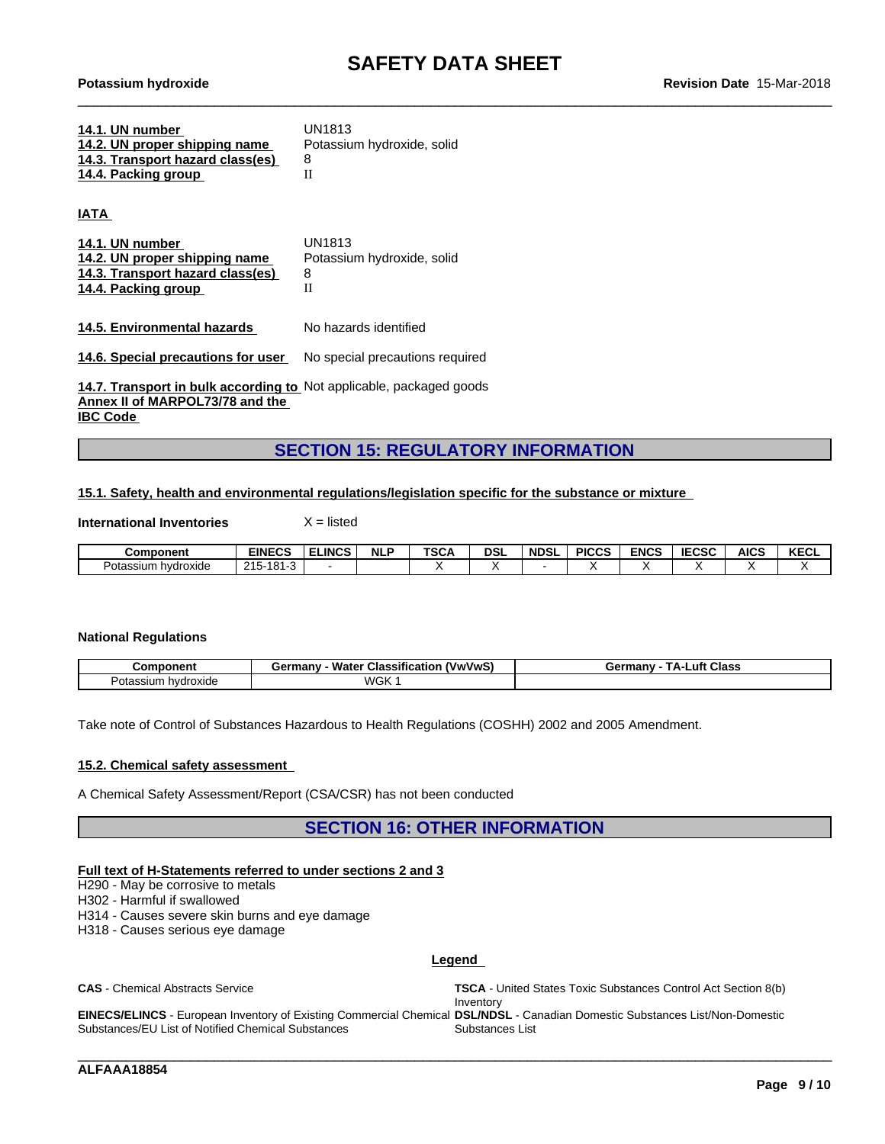| 14.1. UN number                  | UN1813                     |
|----------------------------------|----------------------------|
| 14.2. UN proper shipping name    | Potassium hydroxide, solid |
| 14.3. Transport hazard class(es) |                            |
| 14.4. Packing group              |                            |

**IATA** 

| 14.1. UN number                  | UN1813                     |
|----------------------------------|----------------------------|
| 14.2. UN proper shipping name    | Potassium hydroxide, solid |
| 14.3. Transport hazard class(es) | 8                          |
| 14.4. Packing group              |                            |
|                                  |                            |

**14.5. Environmental hazards** No hazards identified

**14.6. Special precautions for user** No special precautions required

**14.7. Transport in bulk according to** Not applicable, packaged goods **Annex II of MARPOL73/78 and the IBC Code** 

# **SECTION 15: REGULATORY INFORMATION**

### **15.1. Safety, health and environmental regulations/legislation specific for the substance or mixture**

**International Inventories** X = listed

| Component              | EINECS                                          | <b>LINCS</b> | <b>NLP</b> | TSC/ | <b>DSL</b> | <b>NDSL</b> | <b>PICCS</b> | <b>ENCS</b> | <b>IECSC</b> | <b>AICS</b> | <b>ILLOT</b><br><b>NEVL</b> |
|------------------------|-------------------------------------------------|--------------|------------|------|------------|-------------|--------------|-------------|--------------|-------------|-----------------------------|
| Potassium<br>hvdroxide | 10 <sup>2</sup><br>$\Omega$<br>1 O<br>2 I V<br> |              |            |      |            |             |              |             |              |             |                             |

### **National Regulations**

| nm                           | <br>. .<br>Water<br>' Classification<br><b><i>(VwVwS)</i></b><br>Germany<br>- 1 | <b>Class</b><br>⊥uft<br>manv:<br><u>дан</u><br>ue |
|------------------------------|---------------------------------------------------------------------------------|---------------------------------------------------|
| hvdroxide<br>`ssiun.<br>отаз | WGK                                                                             |                                                   |

Take note of Control of Substances Hazardous to Health Regulations (COSHH) 2002 and 2005 Amendment.

### **15.2. Chemical safety assessment**

A Chemical Safety Assessment/Report (CSA/CSR) has not been conducted

**SECTION 16: OTHER INFORMATION**

### **Full text of H-Statements referred to undersections 2 and 3**

H290 - May be corrosive to metals

H302 - Harmful if swallowed

H314 - Causes severe skin burns and eye damage

Substances/EU List of Notified Chemical Substances

H318 - Causes serious eye damage

### **Legend**

**CAS** - Chemical Abstracts Service **TSCA** - United States Toxic Substances Control Act Section 8(b) Inventory **EINECS/ELINCS** - European Inventory of Existing Commercial Chemical **DSL/NDSL** - Canadian Domestic Substances List/Non-Domestic Substances List